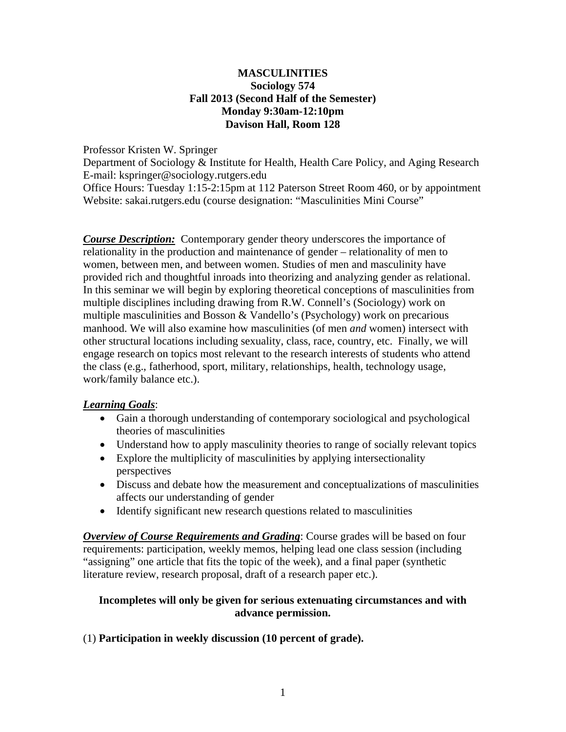## **MASCULINITIES Sociology 574 Fall 2013 (Second Half of the Semester) Monday 9:30am-12:10pm Davison Hall, Room 128**

## Professor Kristen W. Springer

Department of Sociology & Institute for Health, Health Care Policy, and Aging Research E-mail: kspringer@sociology.rutgers.edu

Office Hours: Tuesday 1:15-2:15pm at 112 Paterson Street Room 460, or by appointment Website: sakai.rutgers.edu (course designation: "Masculinities Mini Course"

*Course Description:* Contemporary gender theory underscores the importance of relationality in the production and maintenance of gender – relationality of men to women, between men, and between women. Studies of men and masculinity have provided rich and thoughtful inroads into theorizing and analyzing gender as relational. In this seminar we will begin by exploring theoretical conceptions of masculinities from multiple disciplines including drawing from R.W. Connell's (Sociology) work on multiple masculinities and Bosson & Vandello's (Psychology) work on precarious manhood. We will also examine how masculinities (of men *and* women) intersect with other structural locations including sexuality, class, race, country, etc. Finally, we will engage research on topics most relevant to the research interests of students who attend the class (e.g., fatherhood, sport, military, relationships, health, technology usage, work/family balance etc.).

# *Learning Goals*:

- Gain a thorough understanding of contemporary sociological and psychological theories of masculinities
- Understand how to apply masculinity theories to range of socially relevant topics
- Explore the multiplicity of masculinities by applying intersectionality perspectives
- Discuss and debate how the measurement and conceptualizations of masculinities affects our understanding of gender
- Identify significant new research questions related to masculinities

*Overview of Course Requirements and Grading*: Course grades will be based on four requirements: participation, weekly memos, helping lead one class session (including "assigning" one article that fits the topic of the week), and a final paper (synthetic literature review, research proposal, draft of a research paper etc.).

## **Incompletes will only be given for serious extenuating circumstances and with advance permission.**

## (1) **Participation in weekly discussion (10 percent of grade).**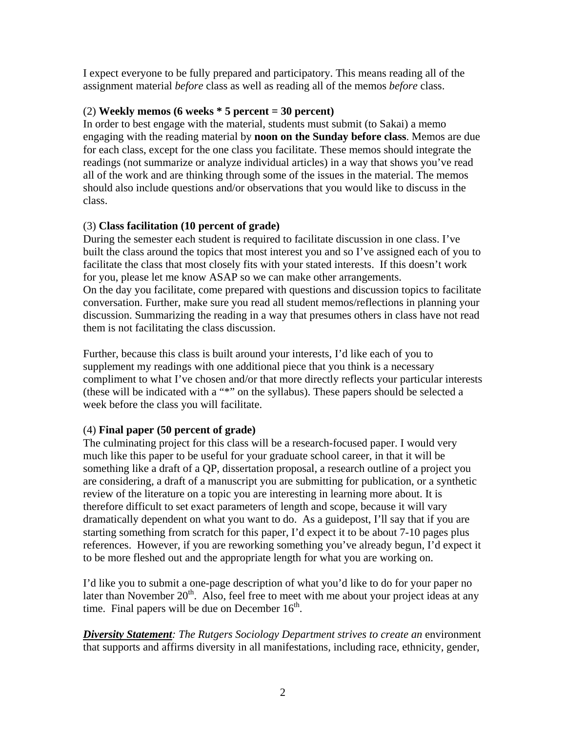I expect everyone to be fully prepared and participatory. This means reading all of the assignment material *before* class as well as reading all of the memos *before* class.

## (2) **Weekly memos (6 weeks \* 5 percent = 30 percent)**

In order to best engage with the material, students must submit (to Sakai) a memo engaging with the reading material by **noon on the Sunday before class**. Memos are due for each class, except for the one class you facilitate. These memos should integrate the readings (not summarize or analyze individual articles) in a way that shows you've read all of the work and are thinking through some of the issues in the material. The memos should also include questions and/or observations that you would like to discuss in the class.

# (3) **Class facilitation (10 percent of grade)**

During the semester each student is required to facilitate discussion in one class. I've built the class around the topics that most interest you and so I've assigned each of you to facilitate the class that most closely fits with your stated interests. If this doesn't work for you, please let me know ASAP so we can make other arrangements. On the day you facilitate, come prepared with questions and discussion topics to facilitate

conversation. Further, make sure you read all student memos/reflections in planning your discussion. Summarizing the reading in a way that presumes others in class have not read them is not facilitating the class discussion.

Further, because this class is built around your interests, I'd like each of you to supplement my readings with one additional piece that you think is a necessary compliment to what I've chosen and/or that more directly reflects your particular interests (these will be indicated with a "\*" on the syllabus). These papers should be selected a week before the class you will facilitate.

# (4) **Final paper (50 percent of grade)**

The culminating project for this class will be a research-focused paper. I would very much like this paper to be useful for your graduate school career, in that it will be something like a draft of a QP, dissertation proposal, a research outline of a project you are considering, a draft of a manuscript you are submitting for publication, or a synthetic review of the literature on a topic you are interesting in learning more about. It is therefore difficult to set exact parameters of length and scope, because it will vary dramatically dependent on what you want to do. As a guidepost, I'll say that if you are starting something from scratch for this paper, I'd expect it to be about 7-10 pages plus references. However, if you are reworking something you've already begun, I'd expect it to be more fleshed out and the appropriate length for what you are working on.

I'd like you to submit a one-page description of what you'd like to do for your paper no later than November  $20<sup>th</sup>$ . Also, feel free to meet with me about your project ideas at any time. Final papers will be due on December  $16<sup>th</sup>$ .

*Diversity Statement: The Rutgers Sociology Department strives to create an* environment that supports and affirms diversity in all manifestations, including race, ethnicity, gender,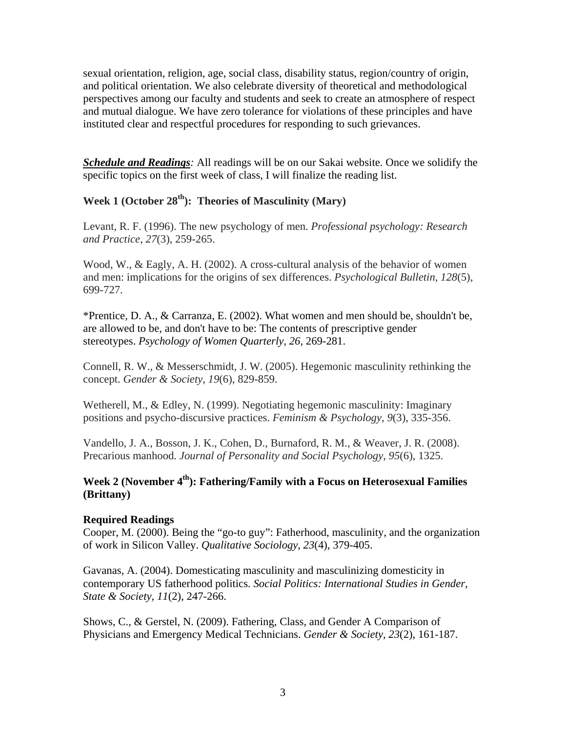sexual orientation, religion, age, social class, disability status, region/country of origin, and political orientation. We also celebrate diversity of theoretical and methodological perspectives among our faculty and students and seek to create an atmosphere of respect and mutual dialogue. We have zero tolerance for violations of these principles and have instituted clear and respectful procedures for responding to such grievances.

*Schedule and Readings:* All readings will be on our Sakai website. Once we solidify the specific topics on the first week of class, I will finalize the reading list.

# **Week 1 (October 28th): Theories of Masculinity (Mary)**

Levant, R. F. (1996). The new psychology of men. *Professional psychology: Research and Practice*, *27*(3), 259-265.

Wood, W., & Eagly, A. H. (2002). A cross-cultural analysis of the behavior of women and men: implications for the origins of sex differences. *Psychological Bulletin*, *128*(5), 699-727.

\*Prentice, D. A., & Carranza, E. (2002). What women and men should be, shouldn't be, are allowed to be, and don't have to be: The contents of prescriptive gender stereotypes. *Psychology of Women Quarterly, 26*, 269-281.

Connell, R. W., & Messerschmidt, J. W. (2005). Hegemonic masculinity rethinking the concept. *Gender & Society*, *19*(6), 829-859.

Wetherell, M., & Edley, N. (1999). Negotiating hegemonic masculinity: Imaginary positions and psycho-discursive practices. *Feminism & Psychology*, *9*(3), 335-356.

Vandello, J. A., Bosson, J. K., Cohen, D., Burnaford, R. M., & Weaver, J. R. (2008). Precarious manhood. *Journal of Personality and Social Psychology*, *95*(6), 1325.

# **Week 2 (November 4th): Fathering/Family with a Focus on Heterosexual Families (Brittany)**

## **Required Readings**

Cooper, M. (2000). Being the "go-to guy": Fatherhood, masculinity, and the organization of work in Silicon Valley. *Qualitative Sociology*, *23*(4), 379-405.

Gavanas, A. (2004). Domesticating masculinity and masculinizing domesticity in contemporary US fatherhood politics. *Social Politics: International Studies in Gender, State & Society*, *11*(2), 247-266.

Shows, C., & Gerstel, N. (2009). Fathering, Class, and Gender A Comparison of Physicians and Emergency Medical Technicians. *Gender & Society*, *23*(2), 161-187.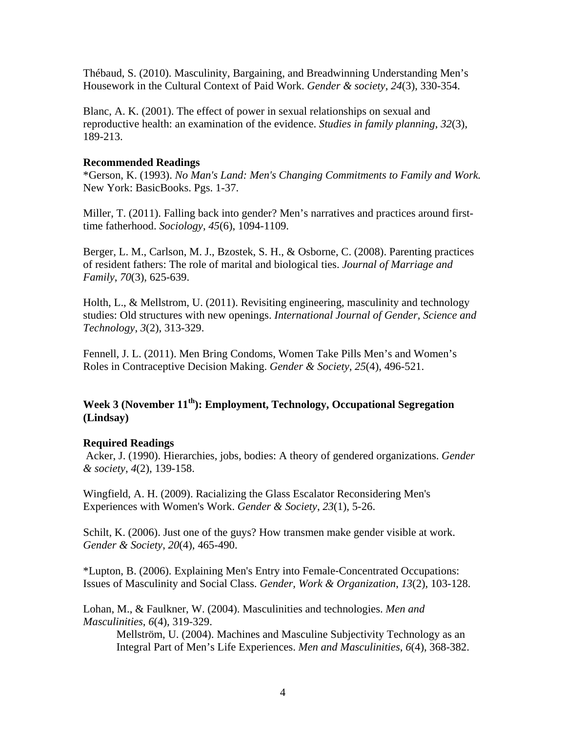Thébaud, S. (2010). Masculinity, Bargaining, and Breadwinning Understanding Men's Housework in the Cultural Context of Paid Work. *Gender & society*, *24*(3), 330-354.

Blanc, A. K. (2001). The effect of power in sexual relationships on sexual and reproductive health: an examination of the evidence. *Studies in family planning*, *32*(3), 189-213.

#### **Recommended Readings**

\*Gerson, K. (1993). *No Man's Land: Men's Changing Commitments to Family and Work.*  New York: BasicBooks. Pgs. 1-37.

Miller, T. (2011). Falling back into gender? Men's narratives and practices around firsttime fatherhood. *Sociology*, *45*(6), 1094-1109.

Berger, L. M., Carlson, M. J., Bzostek, S. H., & Osborne, C. (2008). Parenting practices of resident fathers: The role of marital and biological ties. *Journal of Marriage and Family*, *70*(3), 625-639.

Holth, L., & Mellstrom, U. (2011). Revisiting engineering, masculinity and technology studies: Old structures with new openings. *International Journal of Gender, Science and Technology*, *3*(2), 313-329.

Fennell, J. L. (2011). Men Bring Condoms, Women Take Pills Men's and Women's Roles in Contraceptive Decision Making. *Gender & Society*, *25*(4), 496-521.

# **Week 3 (November 11th): Employment, Technology, Occupational Segregation (Lindsay)**

#### **Required Readings**

 Acker, J. (1990). Hierarchies, jobs, bodies: A theory of gendered organizations. *Gender & society*, *4*(2), 139-158.

Wingfield, A. H. (2009). Racializing the Glass Escalator Reconsidering Men's Experiences with Women's Work. *Gender & Society*, *23*(1), 5-26.

Schilt, K. (2006). Just one of the guys? How transmen make gender visible at work. *Gender & Society*, *20*(4), 465-490.

\*Lupton, B. (2006). Explaining Men's Entry into Female‐Concentrated Occupations: Issues of Masculinity and Social Class. *Gender, Work & Organization*, *13*(2), 103-128.

Lohan, M., & Faulkner, W. (2004). Masculinities and technologies. *Men and Masculinities*, *6*(4), 319-329.

Mellström, U. (2004). Machines and Masculine Subjectivity Technology as an Integral Part of Men's Life Experiences. *Men and Masculinities*, *6*(4), 368-382.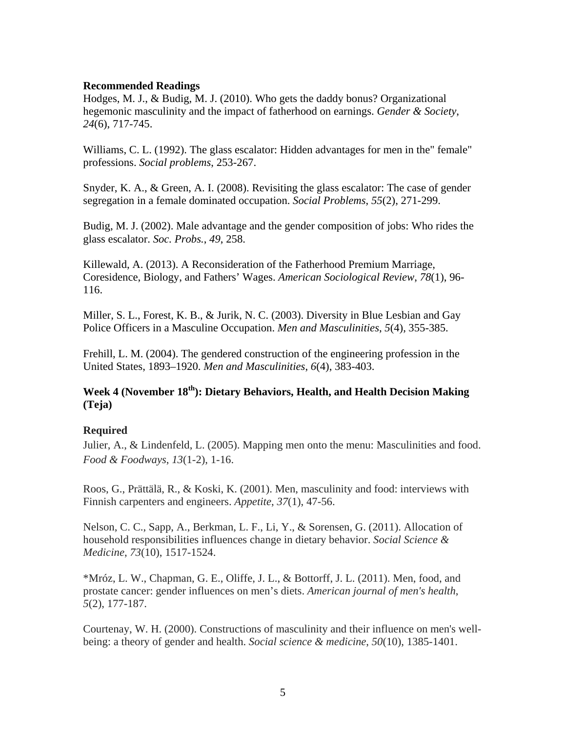#### **Recommended Readings**

Hodges, M. J., & Budig, M. J. (2010). Who gets the daddy bonus? Organizational hegemonic masculinity and the impact of fatherhood on earnings. *Gender & Society*, *24*(6), 717-745.

Williams, C. L. (1992). The glass escalator: Hidden advantages for men in the" female" professions. *Social problems*, 253-267.

Snyder, K. A., & Green, A. I. (2008). Revisiting the glass escalator: The case of gender segregation in a female dominated occupation. *Social Problems*, *55*(2), 271-299.

Budig, M. J. (2002). Male advantage and the gender composition of jobs: Who rides the glass escalator. *Soc. Probs.*, *49*, 258.

Killewald, A. (2013). A Reconsideration of the Fatherhood Premium Marriage, Coresidence, Biology, and Fathers' Wages. *American Sociological Review*, *78*(1), 96- 116.

Miller, S. L., Forest, K. B., & Jurik, N. C. (2003). Diversity in Blue Lesbian and Gay Police Officers in a Masculine Occupation. *Men and Masculinities*, *5*(4), 355-385.

Frehill, L. M. (2004). The gendered construction of the engineering profession in the United States, 1893–1920. *Men and Masculinities*, *6*(4), 383-403.

# **Week 4 (November 18th): Dietary Behaviors, Health, and Health Decision Making (Teja)**

## **Required**

Julier, A., & Lindenfeld, L. (2005). Mapping men onto the menu: Masculinities and food. *Food & Foodways*, *13*(1-2), 1-16.

Roos, G., Prättälä, R., & Koski, K. (2001). Men, masculinity and food: interviews with Finnish carpenters and engineers. *Appetite*, *37*(1), 47-56.

Nelson, C. C., Sapp, A., Berkman, L. F., Li, Y., & Sorensen, G. (2011). Allocation of household responsibilities influences change in dietary behavior. *Social Science & Medicine*, *73*(10), 1517-1524.

\*Mróz, L. W., Chapman, G. E., Oliffe, J. L., & Bottorff, J. L. (2011). Men, food, and prostate cancer: gender influences on men's diets. *American journal of men's health*, *5*(2), 177-187.

Courtenay, W. H. (2000). Constructions of masculinity and their influence on men's wellbeing: a theory of gender and health. *Social science & medicine*, *50*(10), 1385-1401.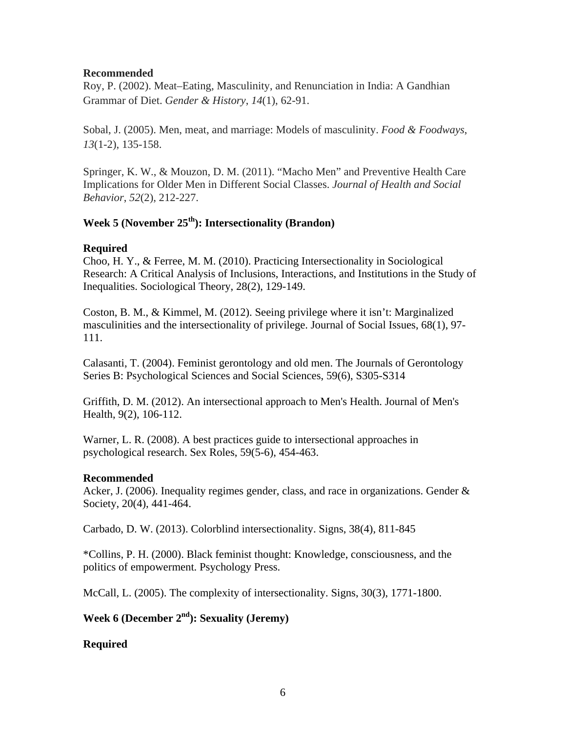## **Recommended**

Roy, P. (2002). Meat–Eating, Masculinity, and Renunciation in India: A Gandhian Grammar of Diet. *Gender & History*, *14*(1), 62-91.

Sobal, J. (2005). Men, meat, and marriage: Models of masculinity. *Food & Foodways*, *13*(1-2), 135-158.

Springer, K. W., & Mouzon, D. M. (2011). "Macho Men" and Preventive Health Care Implications for Older Men in Different Social Classes. *Journal of Health and Social Behavior*, *52*(2), 212-227.

# **Week 5 (November 25th): Intersectionality (Brandon)**

## **Required**

Choo, H. Y., & Ferree, M. M. (2010). Practicing Intersectionality in Sociological Research: A Critical Analysis of Inclusions, Interactions, and Institutions in the Study of Inequalities. Sociological Theory, 28(2), 129-149.

Coston, B. M., & Kimmel, M. (2012). Seeing privilege where it isn't: Marginalized masculinities and the intersectionality of privilege. Journal of Social Issues, 68(1), 97- 111.

Calasanti, T. (2004). Feminist gerontology and old men. The Journals of Gerontology Series B: Psychological Sciences and Social Sciences, 59(6), S305-S314

Griffith, D. M. (2012). An intersectional approach to Men's Health. Journal of Men's Health, 9(2), 106-112.

Warner, L. R. (2008). A best practices guide to intersectional approaches in psychological research. Sex Roles, 59(5-6), 454-463.

## **Recommended**

Acker, J. (2006). Inequality regimes gender, class, and race in organizations. Gender  $\&$ Society, 20(4), 441-464.

Carbado, D. W. (2013). Colorblind intersectionality. Signs, 38(4), 811-845

\*Collins, P. H. (2000). Black feminist thought: Knowledge, consciousness, and the politics of empowerment. Psychology Press.

McCall, L. (2005). The complexity of intersectionality. Signs, 30(3), 1771-1800.

# **Week 6 (December 2nd): Sexuality (Jeremy)**

# **Required**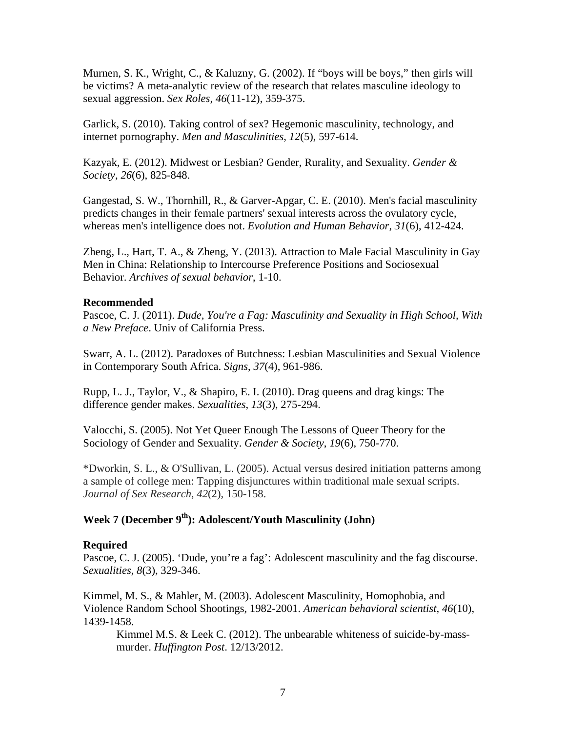Murnen, S. K., Wright, C., & Kaluzny, G. (2002). If "boys will be boys," then girls will be victims? A meta-analytic review of the research that relates masculine ideology to sexual aggression. *Sex Roles*, *46*(11-12), 359-375.

Garlick, S. (2010). Taking control of sex? Hegemonic masculinity, technology, and internet pornography. *Men and Masculinities*, *12*(5), 597-614.

Kazyak, E. (2012). Midwest or Lesbian? Gender, Rurality, and Sexuality. *Gender & Society*, *26*(6), 825-848.

Gangestad, S. W., Thornhill, R., & Garver-Apgar, C. E. (2010). Men's facial masculinity predicts changes in their female partners' sexual interests across the ovulatory cycle, whereas men's intelligence does not. *Evolution and Human Behavior*, *31*(6), 412-424.

Zheng, L., Hart, T. A., & Zheng, Y. (2013). Attraction to Male Facial Masculinity in Gay Men in China: Relationship to Intercourse Preference Positions and Sociosexual Behavior. *Archives of sexual behavior*, 1-10.

## **Recommended**

Pascoe, C. J. (2011). *Dude, You're a Fag: Masculinity and Sexuality in High School, With a New Preface*. Univ of California Press.

Swarr, A. L. (2012). Paradoxes of Butchness: Lesbian Masculinities and Sexual Violence in Contemporary South Africa. *Signs*, *37*(4), 961-986.

Rupp, L. J., Taylor, V., & Shapiro, E. I. (2010). Drag queens and drag kings: The difference gender makes. *Sexualities*, *13*(3), 275-294.

Valocchi, S. (2005). Not Yet Queer Enough The Lessons of Queer Theory for the Sociology of Gender and Sexuality. *Gender & Society*, *19*(6), 750-770.

\*Dworkin, S. L., & O'Sullivan, L. (2005). Actual versus desired initiation patterns among a sample of college men: Tapping disjunctures within traditional male sexual scripts. *Journal of Sex Research*, *42*(2), 150-158.

# **Week 7 (December 9th): Adolescent/Youth Masculinity (John)**

## **Required**

Pascoe, C. J. (2005). 'Dude, you're a fag': Adolescent masculinity and the fag discourse. *Sexualities*, *8*(3), 329-346.

Kimmel, M. S., & Mahler, M. (2003). Adolescent Masculinity, Homophobia, and Violence Random School Shootings, 1982-2001. *American behavioral scientist*, *46*(10), 1439-1458.

Kimmel M.S. & Leek C. (2012). The unbearable whiteness of suicide-by-massmurder. *Huffington Post*. 12/13/2012.